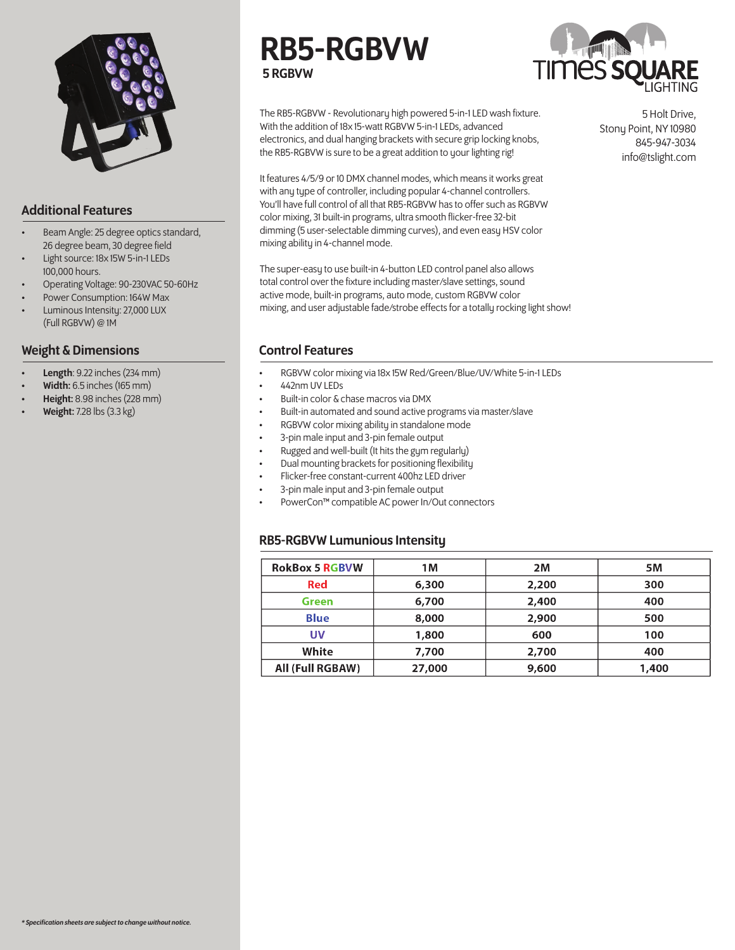

# Additional Features

- Beam Angle: 25 degree optics standard, 26 degree beam, 30 degree field
- Light source: 18x 15W 5-in-1 LEDs 100,000 hours.
- Operating Voltage: 90-230VAC 50-60Hz
- Power Consumption: 164W Max
- Luminous Intensity: 27,000 LUX (Full RGBVW) @ 1M

#### Weight & Dimensions

- Length: 9.22 inches (234 mm)
- Width: 6.5 inches (165 mm)
- Height: 8.98 inches (228 mm)
- **Weight:** 7.28 lbs (3.3 kg)

# RB5-RGBVW 5 RGBVW



The RB5-RGBVW - Revolutionary high powered 5-in-1 LED wash fixture. With the addition of 18x 15-watt RGBVW 5-in-1 LEDs, advanced electronics, and dual hanging brackets with secure grip locking knobs, the RB5-RGBVW is sure to be a great addition to your lighting rig!

It features 4/5/9 or 10 DMX channel modes, which means it works great with any type of controller, including popular 4-channel controllers. You'll have full control of all that RB5-RGBVW has to offer such as RGBVW color mixing, 31 built-in programs, ultra smooth flicker-free 32-bit dimming (5 user-selectable dimming curves), and even easy HSV color mixing ability in 4-channel mode.

The super-easy to use built-in 4-button LED control panel also allows total control over the fixture including master/slave settings, sound active mode, built-in programs, auto mode, custom RGBVW color mixing, and user adjustable fade/strobe effects for a totally rocking light show!

## Control Features

- RGBVW color mixing via 18x 15W Red/Green/Blue/UV/White 5-in-1 LEDs
- 442nm UV LEDs
- Built-in color & chase macros via DMX
- Built-in automated and sound active programs via master/slave
- RGBVW color mixing ability in standalone mode
- 3-pin male input and 3-pin female output
- Rugged and well-built (It hits the gym regularly)
- Dual mounting brackets for positioning flexibility
- Flicker-free constant-current 400hz LED driver
- 3-pin male input and 3-pin female output
- PowerCon™ compatible AC power In/Out connectors

## RB5-RGBVW Lumunious Intensity

| <b>RokBox 5 RGBVW</b> | 1M     | 2M    | <b>5M</b> |
|-----------------------|--------|-------|-----------|
| <b>Red</b>            | 6,300  | 2,200 | 300       |
| <b>Green</b>          | 6,700  | 2,400 | 400       |
| <b>Blue</b>           | 8,000  | 2,900 | 500       |
| UV                    | 1,800  | 600   | 100       |
| White                 | 7,700  | 2,700 | 400       |
| All (Full RGBAW)      | 27,000 | 9,600 | 1,400     |

5 Holt Drive, Stony Point, NY 10980 845-947-3034 info@tslight.com